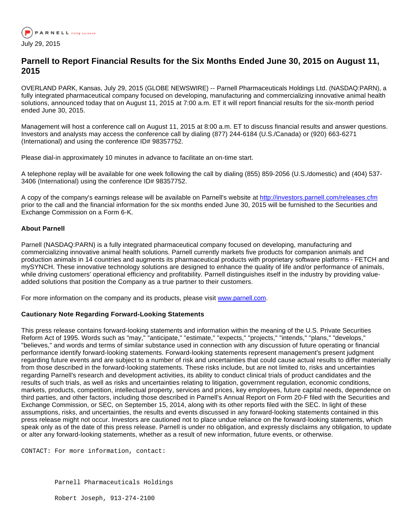

## **Parnell to Report Financial Results for the Six Months Ended June 30, 2015 on August 11, 2015**

OVERLAND PARK, Kansas, July 29, 2015 (GLOBE NEWSWIRE) -- Parnell Pharmaceuticals Holdings Ltd. (NASDAQ:PARN), a fully integrated pharmaceutical company focused on developing, manufacturing and commercializing innovative animal health solutions, announced today that on August 11, 2015 at 7:00 a.m. ET it will report financial results for the six-month period ended June 30, 2015.

Management will host a conference call on August 11, 2015 at 8:00 a.m. ET to discuss financial results and answer questions. Investors and analysts may access the conference call by dialing (877) 244-6184 (U.S./Canada) or (920) 663-6271 (International) and using the conference ID# 98357752.

Please dial-in approximately 10 minutes in advance to facilitate an on-time start.

A telephone replay will be available for one week following the call by dialing (855) 859-2056 (U.S./domestic) and (404) 537- 3406 (International) using the conference ID# 98357752.

A copy of the company's earnings release will be available on Parnell's website at [http://investors.parnell.com/releases.cfm](http://www.globenewswire.com/newsroom/ctr?d=10143648&l=5&u=http%3A%2F%2Finvestors.parnell.com%2Freleases.cfm) prior to the call and the financial information for the six months ended June 30, 2015 will be furnished to the Securities and Exchange Commission on a Form 6-K.

## **About Parnell**

Parnell (NASDAQ:PARN) is a fully integrated pharmaceutical company focused on developing, manufacturing and commercializing innovative animal health solutions. Parnell currently markets five products for companion animals and production animals in 14 countries and augments its pharmaceutical products with proprietary software platforms - FETCH and mySYNCH. These innovative technology solutions are designed to enhance the quality of life and/or performance of animals, while driving customers' operational efficiency and profitability. Parnell distinguishes itself in the industry by providing valueadded solutions that position the Company as a true partner to their customers.

For more information on the company and its products, please visit [www.parnell.com](http://www.globenewswire.com/newsroom/ctr?d=10143648&l=8&a=www.parnell.com&u=http%3A%2F%2Fwww.parnell.com%2F).

## **Cautionary Note Regarding Forward-Looking Statements**

This press release contains forward-looking statements and information within the meaning of the U.S. Private Securities Reform Act of 1995. Words such as "may," "anticipate," "estimate," "expects," "projects," "intends," "plans," "develops," "believes," and words and terms of similar substance used in connection with any discussion of future operating or financial performance identify forward-looking statements. Forward-looking statements represent management's present judgment regarding future events and are subject to a number of risk and uncertainties that could cause actual results to differ materially from those described in the forward-looking statements. These risks include, but are not limited to, risks and uncertainties regarding Parnell's research and development activities, its ability to conduct clinical trials of product candidates and the results of such trials, as well as risks and uncertainties relating to litigation, government regulation, economic conditions, markets, products, competition, intellectual property, services and prices, key employees, future capital needs, dependence on third parties, and other factors, including those described in Parnell's Annual Report on Form 20-F filed with the Securities and Exchange Commission, or SEC, on September 15, 2014, along with its other reports filed with the SEC. In light of these assumptions, risks, and uncertainties, the results and events discussed in any forward-looking statements contained in this press release might not occur. Investors are cautioned not to place undue reliance on the forward-looking statements, which speak only as of the date of this press release. Parnell is under no obligation, and expressly disclaims any obligation, to update or alter any forward-looking statements, whether as a result of new information, future events, or otherwise.

CONTACT: For more information, contact:

Parnell Pharmaceuticals Holdings

Robert Joseph, 913-274-2100